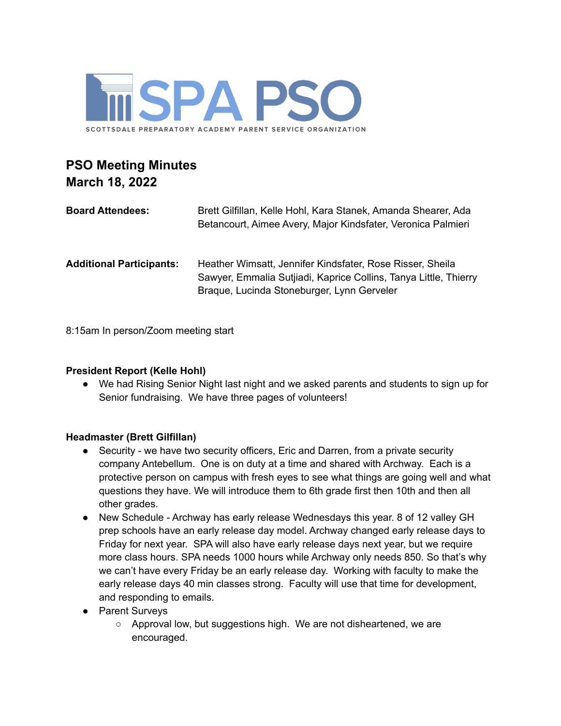

# **PSO Meeting Minutes March 18, 2022**

| <b>Board Attendees:</b>         | Brett Gilfillan, Kelle Hohl, Kara Stanek, Amanda Shearer, Ada<br>Betancourt, Aimee Avery, Major Kindsfater, Veronica Palmieri                                               |
|---------------------------------|-----------------------------------------------------------------------------------------------------------------------------------------------------------------------------|
| <b>Additional Participants:</b> | Heather Wimsatt, Jennifer Kindsfater, Rose Risser, Sheila<br>Sawyer, Emmalia Sutjiadi, Kaprice Collins, Tanya Little, Thierry<br>Braque, Lucinda Stoneburger, Lynn Gerveler |

8:15am In person/Zoom meeting start

# **President Report (Kelle Hohl)**

● We had Rising Senior Night last night and we asked parents and students to sign up for Senior fundraising. We have three pages of volunteers!

#### **Headmaster (Brett Gilfillan)**

- Security we have two security officers, Eric and Darren, from a private security company Antebellum. One is on duty at a time and shared with Archway. Each is a protective person on campus with fresh eyes to see what things are going well and what questions they have. We will introduce them to 6th grade first then 10th and then all other grades.
- New Schedule Archway has early release Wednesdays this year. 8 of 12 valley GH prep schools have an early release day model. Archway changed early release days to Friday for next year. SPA will also have early release days next year, but we require more class hours. SPA needs 1000 hours while Archway only needs 850. So that's why we can't have every Friday be an early release day. Working with faculty to make the early release days 40 min classes strong. Faculty will use that time for development, and responding to emails.
- Parent Surveys
	- Approval low, but suggestions high. We are not disheartened, we are encouraged.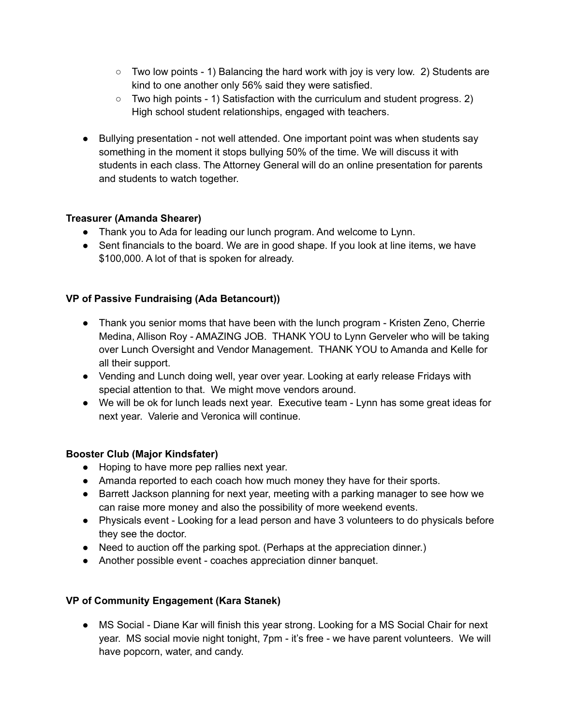- $\circ$  Two low points 1) Balancing the hard work with joy is very low. 2) Students are kind to one another only 56% said they were satisfied.
- Two high points 1) Satisfaction with the curriculum and student progress. 2) High school student relationships, engaged with teachers.
- Bullying presentation not well attended. One important point was when students say something in the moment it stops bullying 50% of the time. We will discuss it with students in each class. The Attorney General will do an online presentation for parents and students to watch together.

# **Treasurer (Amanda Shearer)**

- Thank you to Ada for leading our lunch program. And welcome to Lynn.
- Sent financials to the board. We are in good shape. If you look at line items, we have \$100,000. A lot of that is spoken for already.

# **VP of Passive Fundraising (Ada Betancourt))**

- Thank you senior moms that have been with the lunch program Kristen Zeno, Cherrie Medina, Allison Roy - AMAZING JOB. THANK YOU to Lynn Gerveler who will be taking over Lunch Oversight and Vendor Management. THANK YOU to Amanda and Kelle for all their support.
- Vending and Lunch doing well, year over year. Looking at early release Fridays with special attention to that. We might move vendors around.
- We will be ok for lunch leads next year. Executive team Lynn has some great ideas for next year. Valerie and Veronica will continue.

# **Booster Club (Major Kindsfater)**

- Hoping to have more pep rallies next year.
- Amanda reported to each coach how much money they have for their sports.
- Barrett Jackson planning for next year, meeting with a parking manager to see how we can raise more money and also the possibility of more weekend events.
- Physicals event Looking for a lead person and have 3 volunteers to do physicals before they see the doctor.
- Need to auction off the parking spot. (Perhaps at the appreciation dinner.)
- Another possible event coaches appreciation dinner banquet.

# **VP of Community Engagement (Kara Stanek)**

● MS Social - Diane Kar will finish this year strong. Looking for a MS Social Chair for next year. MS social movie night tonight, 7pm - it's free - we have parent volunteers. We will have popcorn, water, and candy.